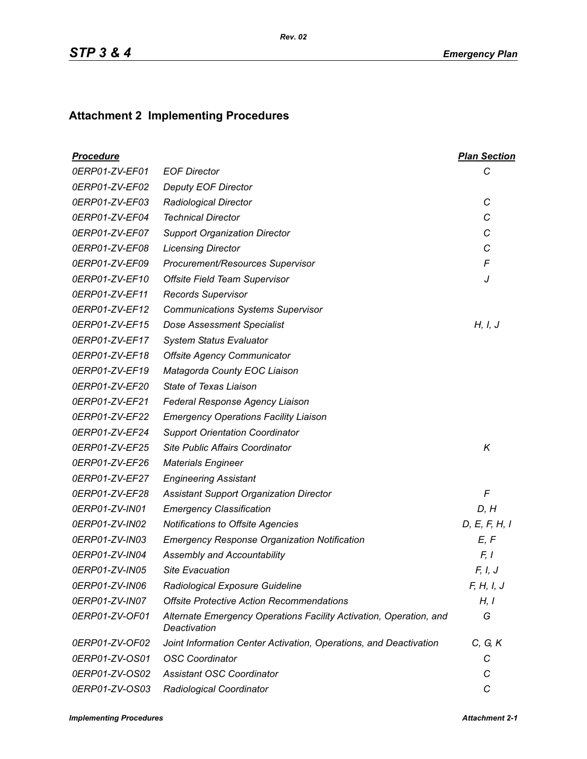## **Attachment 2 Implementing Procedures**

| <b>Procedure</b> |                                                                                    | <b>Plan Section</b> |
|------------------|------------------------------------------------------------------------------------|---------------------|
| 0ERP01-ZV-EF01   | <b>EOF Director</b>                                                                | С                   |
| 0ERP01-ZV-EF02   | <b>Deputy EOF Director</b>                                                         |                     |
| 0ERP01-ZV-EF03   | <b>Radiological Director</b>                                                       | C                   |
| 0ERP01-ZV-EF04   | <b>Technical Director</b>                                                          | С                   |
| 0ERP01-ZV-EF07   | <b>Support Organization Director</b>                                               | C                   |
| 0ERP01-ZV-EF08   | <b>Licensing Director</b>                                                          | C                   |
| 0ERP01-ZV-EF09   | Procurement/Resources Supervisor                                                   | F                   |
| 0ERP01-ZV-EF10   | <b>Offsite Field Team Supervisor</b>                                               | J                   |
| 0ERP01-ZV-EF11   | <b>Records Supervisor</b>                                                          |                     |
| 0ERP01-ZV-EF12   | <b>Communications Systems Supervisor</b>                                           |                     |
| 0ERP01-ZV-EF15   | <b>Dose Assessment Specialist</b>                                                  | H, I, J             |
| 0ERP01-ZV-EF17   | <b>System Status Evaluator</b>                                                     |                     |
| 0ERP01-ZV-EF18   | <b>Offsite Agency Communicator</b>                                                 |                     |
| 0ERP01-ZV-EF19   | Matagorda County EOC Liaison                                                       |                     |
| 0ERP01-ZV-EF20   | <b>State of Texas Liaison</b>                                                      |                     |
| 0ERP01-ZV-EF21   | Federal Response Agency Liaison                                                    |                     |
| 0ERP01-ZV-EF22   | <b>Emergency Operations Facility Liaison</b>                                       |                     |
| 0ERP01-ZV-EF24   | <b>Support Orientation Coordinator</b>                                             |                     |
| 0ERP01-ZV-EF25   | <b>Site Public Affairs Coordinator</b>                                             | K                   |
| 0ERP01-ZV-EF26   | <b>Materials Engineer</b>                                                          |                     |
| 0ERP01-ZV-EF27   | <b>Engineering Assistant</b>                                                       |                     |
| 0ERP01-ZV-EF28   | <b>Assistant Support Organization Director</b>                                     | F                   |
| 0ERP01-ZV-IN01   | <b>Emergency Classification</b>                                                    | D, H                |
| 0ERP01-ZV-IN02   | Notifications to Offsite Agencies                                                  | D, E, F, H, I       |
| 0ERP01-ZV-IN03   | <b>Emergency Response Organization Notification</b>                                | E, F                |
| 0ERP01-ZV-IN04   | Assembly and Accountability                                                        | F, I                |
| 0ERP01-ZV-IN05   | <b>Site Evacuation</b>                                                             | F, I, J             |
| 0ERP01-ZV-IN06   | Radiological Exposure Guideline                                                    | F, H, I, J          |
| 0ERP01-ZV-IN07   | <b>Offsite Protective Action Recommendations</b>                                   | H, I                |
| 0ERP01-ZV-OF01   | Alternate Emergency Operations Facility Activation, Operation, and<br>Deactivation | G                   |
| 0ERP01-ZV-OF02   | Joint Information Center Activation, Operations, and Deactivation                  | C, G, K             |
| 0ERP01-ZV-OS01   | <b>OSC Coordinator</b>                                                             | С                   |
| 0ERP01-ZV-OS02   | <b>Assistant OSC Coordinator</b>                                                   | C                   |
| 0ERP01-ZV-OS03   | Radiological Coordinator                                                           | С                   |